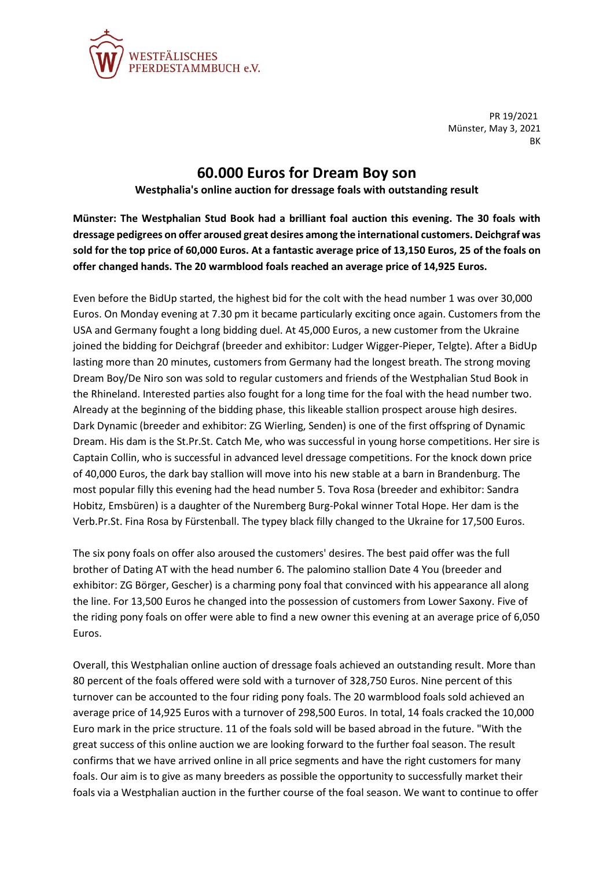

PR 19/2021 Münster, May 3, 2021 BK

## **60.000 Euros for Dream Boy son**

## **Westphalia's online auction for dressage foals with outstanding result**

**Münster: The Westphalian Stud Book had a brilliant foal auction this evening. The 30 foals with dressage pedigrees on offer aroused great desires among the international customers. Deichgraf was sold for the top price of 60,000 Euros. At a fantastic average price of 13,150 Euros, 25 of the foals on offer changed hands. The 20 warmblood foals reached an average price of 14,925 Euros.**

Even before the BidUp started, the highest bid for the colt with the head number 1 was over 30,000 Euros. On Monday evening at 7.30 pm it became particularly exciting once again. Customers from the USA and Germany fought a long bidding duel. At 45,000 Euros, a new customer from the Ukraine joined the bidding for Deichgraf (breeder and exhibitor: Ludger Wigger-Pieper, Telgte). After a BidUp lasting more than 20 minutes, customers from Germany had the longest breath. The strong moving Dream Boy/De Niro son was sold to regular customers and friends of the Westphalian Stud Book in the Rhineland. Interested parties also fought for a long time for the foal with the head number two. Already at the beginning of the bidding phase, this likeable stallion prospect arouse high desires. Dark Dynamic (breeder and exhibitor: ZG Wierling, Senden) is one of the first offspring of Dynamic Dream. His dam is the St.Pr.St. Catch Me, who was successful in young horse competitions. Her sire is Captain Collin, who is successful in advanced level dressage competitions. For the knock down price of 40,000 Euros, the dark bay stallion will move into his new stable at a barn in Brandenburg. The most popular filly this evening had the head number 5. Tova Rosa (breeder and exhibitor: Sandra Hobitz, Emsbüren) is a daughter of the Nuremberg Burg-Pokal winner Total Hope. Her dam is the Verb.Pr.St. Fina Rosa by Fürstenball. The typey black filly changed to the Ukraine for 17,500 Euros.

The six pony foals on offer also aroused the customers' desires. The best paid offer was the full brother of Dating AT with the head number 6. The palomino stallion Date 4 You (breeder and exhibitor: ZG Börger, Gescher) is a charming pony foal that convinced with his appearance all along the line. For 13,500 Euros he changed into the possession of customers from Lower Saxony. Five of the riding pony foals on offer were able to find a new owner this evening at an average price of 6,050 Euros.

Overall, this Westphalian online auction of dressage foals achieved an outstanding result. More than 80 percent of the foals offered were sold with a turnover of 328,750 Euros. Nine percent of this turnover can be accounted to the four riding pony foals. The 20 warmblood foals sold achieved an average price of 14,925 Euros with a turnover of 298,500 Euros. In total, 14 foals cracked the 10,000 Euro mark in the price structure. 11 of the foals sold will be based abroad in the future. "With the great success of this online auction we are looking forward to the further foal season. The result confirms that we have arrived online in all price segments and have the right customers for many foals. Our aim is to give as many breeders as possible the opportunity to successfully market their foals via a Westphalian auction in the further course of the foal season. We want to continue to offer